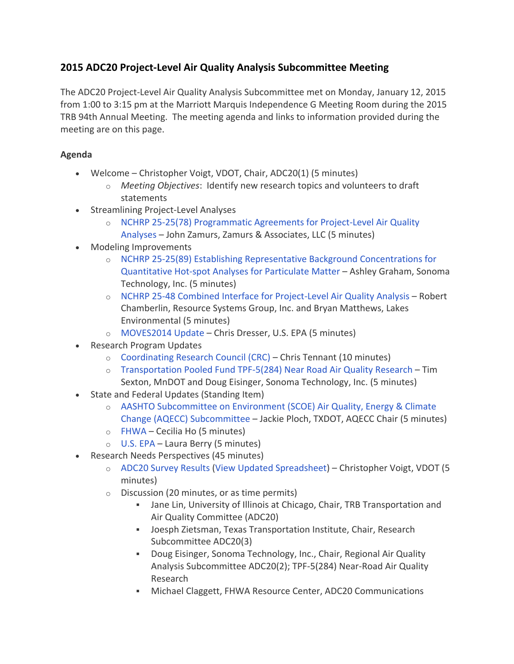## **2015 ADC20 Project-Level Air Quality Analysis Subcommittee Meeting**

The ADC20 Project-Level Air Quality Analysis Subcommittee met on Monday, January 12, 2015 from 1:00 to 3:15 pm at the Marriott Marquis Independence G Meeting Room during the 2015 TRB 94th Annual Meeting. The meeting agenda and links to information provided during the meeting are on this page.

## **Agenda**

- Welcome Christopher Voigt, VDOT, Chair, ADC20(1) (5 minutes)
	- o *Meeting Objectives*: Identify new research topics and volunteers to draft statements
- Streamlining Project-Level Analyses
	- o [NCHRP 25-25\(78\) Programmatic Agreements for Project-Level Air Quality](https://www.trbairquality.org/wp-content/uploads/2015/05/2-ZAMURS-John.pdf)  [Analyses](https://www.trbairquality.org/wp-content/uploads/2015/05/2-ZAMURS-John.pdf) – John Zamurs, Zamurs & Associates, LLC (5 minutes)
- Modeling Improvements
	- o [NCHRP 25-25\(89\) Establishing Representative Background Concentrations for](https://www.trbairquality.org/wp-content/uploads/2015/05/3a-GRAHAM-Ashley.pdf)  [Quantitative Hot-spot Analyses for Particulate Matter](https://www.trbairquality.org/wp-content/uploads/2015/05/3a-GRAHAM-Ashley.pdf) – Ashley Graham, Sonoma Technology, Inc. (5 minutes)
	- o [NCHRP 25-48 Combined Interface for Project-Level Air Quality Analysis](https://www.trbairquality.org/wp-content/uploads/2015/05/3b-CHAMBERLIN-Bob-MATTHEWS-Bryan.pdf) Robert Chamberlin, Resource Systems Group, Inc. and Bryan Matthews, Lakes Environmental (5 minutes)
	- o [MOVES2014 Update](https://www.trbairquality.org/wp-content/uploads/2015/05/3c-DRESSER-Chris.pdf) Chris Dresser, U.S. EPA (5 minutes)
- Research Program Updates
	- o [Coordinating Research Council \(CRC\)](https://www.trbairquality.org/wp-content/uploads/2015/05/4a-TENNANT-Chris.pdf) Chris Tennant (10 minutes)
	- o [Transportation Pooled Fund TPF-5\(284\) Near Road Air Quality Research](https://www.trbairquality.org/wp-content/uploads/2015/05/4b-EISINGER-Doug-SEXTON-Tim.pdf) Tim Sexton, MnDOT and Doug Eisinger, Sonoma Technology, Inc. (5 minutes)
- State and Federal Updates (Standing Item)
	- o [AASHTO Subcommittee on Environment \(SCOE\) Air Quality, Energy & Climate](https://www.trbairquality.org/wp-content/uploads/2015/05/5a-PLOCH-Jackie.pdf)  [Change \(AQECC\) Subcommittee](https://www.trbairquality.org/wp-content/uploads/2015/05/5a-PLOCH-Jackie.pdf) – Jackie Ploch, TXDOT, AQECC Chair (5 minutes)
	- o [FHWA](https://www.trbairquality.org/wp-content/uploads/2015/05/5b-HO-Cecilia.pdf) Cecilia Ho (5 minutes)
	- o [U.S. EPA](https://www.trbairquality.org/wp-content/uploads/2015/05/5c-BERRY-Laura.pdf) Laura Berry (5 minutes)
- Research Needs Perspectives (45 minutes)
	- o [ADC20 Survey Results](https://www.trbairquality.org/wp-content/uploads/2015/05/6a-VOIGT-Christopher.pdf) [\(View Updated Spreadsheet\)](https://www.trbairquality.org/wp-content/uploads/2015/05/ADC201-Project-Level-Air-Q-Research-Ideas-2015.pdf) Christopher Voigt, VDOT (5 minutes)
	- o Discussion (20 minutes, or as time permits)
		- Jane Lin, University of Illinois at Chicago, Chair, TRB Transportation and Air Quality Committee (ADC20)
		- Joesph Zietsman, Texas Transportation Institute, Chair, Research Subcommittee ADC20(3)
		- Doug Eisinger, Sonoma Technology, Inc., Chair, Regional Air Quality Analysis Subcommittee ADC20(2); TPF-5(284) Near-Road Air Quality Research
		- Michael Claggett, FHWA Resource Center, ADC20 Communications